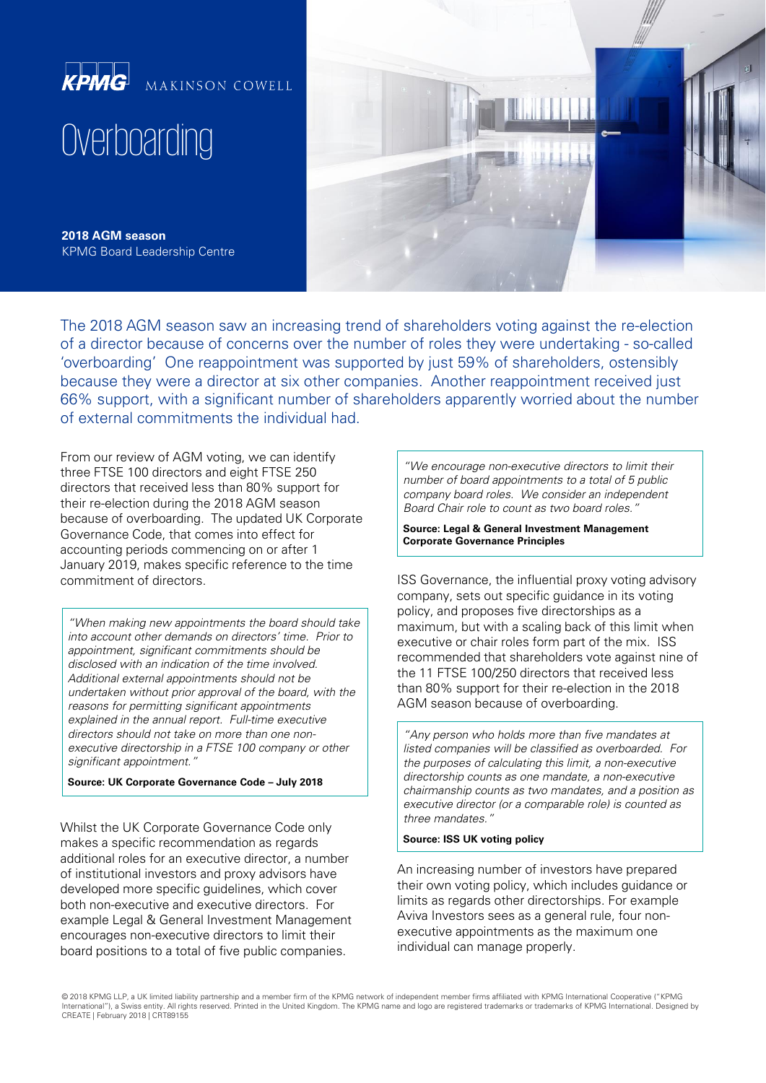

**2018 AGM season** KPMG Board Leadership Centre

The 2018 AGM season saw an increasing trend of shareholders voting against the re-election of a director because of concerns over the number of roles they were undertaking - so-called 'overboarding' One reappointment was supported by just 59% of shareholders, ostensibly because they were a director at six other companies. Another reappointment received just 66% support, with a significant number of shareholders apparently worried about the number of external commitments the individual had.

From our review of AGM voting, we can identify three FTSE 100 directors and eight FTSE 250 directors that received less than 80% support for their re-election during the 2018 AGM season because of overboarding. The updated UK Corporate Governance Code, that comes into effect for accounting periods commencing on or after 1 January 2019, makes specific reference to the time commitment of directors.

"When making new appointments the board should take into account other demands on directors' time. Prior to appointment, significant commitments should be disclosed with an indication of the time involved. Additional external appointments should not be undertaken without prior approval of the board, with the reasons for permitting significant appointments explained in the annual report. Full-time executive directors should not take on more than one nonexecutive directorship in a FTSE 100 company or other significant appointment."

## **Source: UK Corporate Governance Code – July 2018**

Whilst the UK Corporate Governance Code only makes a specific recommendation as regards additional roles for an executive director, a number of institutional investors and proxy advisors have developed more specific guidelines, which cover both non-executive and executive directors. For example Legal & General Investment Management encourages non-executive directors to limit their board positions to a total of five public companies.

"We encourage non-executive directors to limit their number of board appointments to a total of 5 public company board roles. We consider an independent Board Chair role to count as two board roles."

**Source: Legal & General Investment Management Corporate Governance Principles** 

ISS Governance, the influential proxy voting advisory company, sets out specific guidance in its voting policy, and proposes five directorships as a maximum, but with a scaling back of this limit when executive or chair roles form part of the mix. ISS recommended that shareholders vote against nine of the 11 FTSE 100/250 directors that received less than 80% support for their re-election in the 2018 AGM season because of overboarding.

"Any person who holds more than five mandates at listed companies will be classified as overboarded. For the purposes of calculating this limit, a non-executive directorship counts as one mandate, a non-executive chairmanship counts as two mandates, and a position as executive director (or a comparable role) is counted as three mandates."

## **Source: ISS UK voting policy**

An increasing number of investors have prepared their own voting policy, which includes guidance or limits as regards other directorships. For example Aviva Investors sees as a general rule, four nonexecutive appointments as the maximum one individual can manage properly.

© 2018 KPMG LLP, a UK limited liability partnership and a member firm of the KPMG network of independent member firms affiliated with KPMG International Cooperative ("KPMG International"), a Swiss entity. All rights reserved. Printed in the United Kingdom. The KPMG name and logo are registered trademarks or trademarks of KPMG International. Designed by CREATE | February 2018 | CRT89155